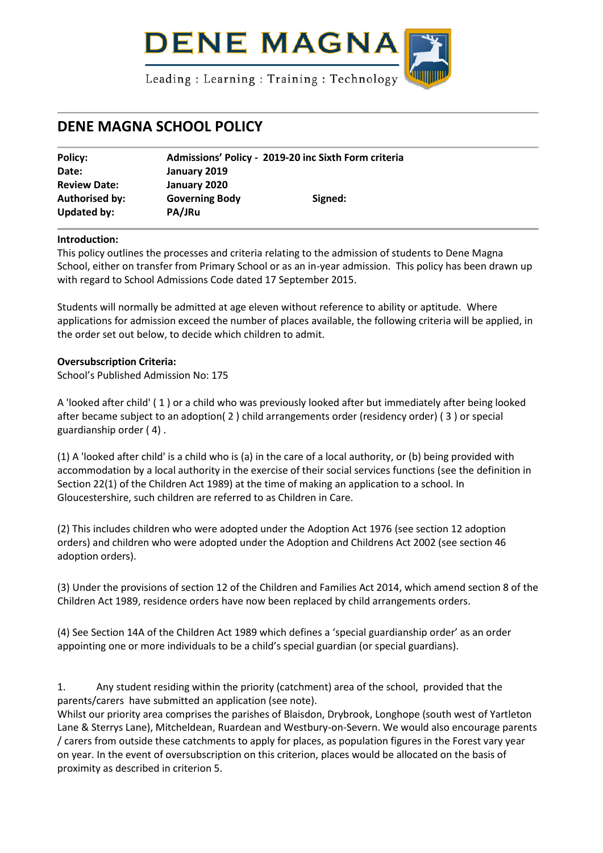

# **DENE MAGNA SCHOOL POLICY**

| Policy:                       | Admissions' Policy - 2019-20 inc Sixth Form criteria |         |  |
|-------------------------------|------------------------------------------------------|---------|--|
| Date:                         | January 2019                                         |         |  |
| <b>Review Date:</b>           | January 2020                                         |         |  |
| Authorised by:<br>Updated by: | <b>Governing Body</b><br>PA/JRu                      | Signed: |  |

#### **Introduction:**

This policy outlines the processes and criteria relating to the admission of students to Dene Magna School, either on transfer from Primary School or as an in-year admission. This policy has been drawn up with regard to School Admissions Code dated 17 September 2015.

Students will normally be admitted at age eleven without reference to ability or aptitude. Where applications for admission exceed the number of places available, the following criteria will be applied, in the order set out below, to decide which children to admit.

## **Oversubscription Criteria:**

School's Published Admission No: 175

A 'looked after child' ( 1 ) or a child who was previously looked after but immediately after being looked after became subject to an adoption( 2 ) child arrangements order (residency order) ( 3 ) or special guardianship order ( 4) .

(1) A 'looked after child' is a child who is (a) in the care of a local authority, or (b) being provided with accommodation by a local authority in the exercise of their social services functions (see the definition in Section 22(1) of the Children Act 1989) at the time of making an application to a school. In Gloucestershire, such children are referred to as Children in Care.

(2) This includes children who were adopted under the Adoption Act 1976 (see section 12 adoption orders) and children who were adopted under the Adoption and Childrens Act 2002 (see section 46 adoption orders).

(3) Under the provisions of section 12 of the Children and Families Act 2014, which amend section 8 of the Children Act 1989, residence orders have now been replaced by child arrangements orders.

(4) See Section 14A of the Children Act 1989 which defines a 'special guardianship order' as an order appointing one or more individuals to be a child's special guardian (or special guardians).

1. Any student residing within the priority (catchment) area of the school, provided that the parents/carers have submitted an application (see note).

Whilst our priority area comprises the parishes of Blaisdon, Drybrook, Longhope (south west of Yartleton Lane & Sterrys Lane), Mitcheldean, Ruardean and Westbury-on-Severn. We would also encourage parents / carers from outside these catchments to apply for places, as population figures in the Forest vary year on year. In the event of oversubscription on this criterion, places would be allocated on the basis of proximity as described in criterion 5.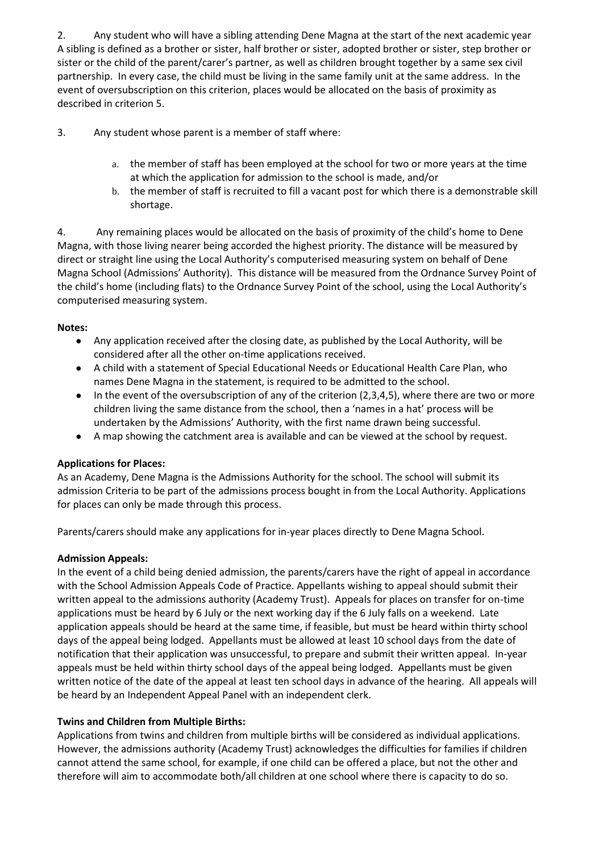2. Any student who will have a sibling attending Dene Magna at the start of the next academic year A sibling is defined as a brother or sister, half brother or sister, adopted brother or sister, step brother or sister or the child of the parent/carer's partner, as well as children brought together by a same sex civil partnership. In every case, the child must be living in the same family unit at the same address. In the event of oversubscription on this criterion, places would be allocated on the basis of proximity as described in criterion 5.

3. Any student whose parent is a member of staff where:

- a. the member of staff has been employed at the school for two or more years at the time at which the application for admission to the school is made, and/or
- b. the member of staff is recruited to fill a vacant post for which there is a demonstrable skill shortage.

4. Any remaining places would be allocated on the basis of proximity of the child's home to Dene Magna, with those living nearer being accorded the highest priority. The distance will be measured by direct or straight line using the Local Authority's computerised measuring system on behalf of Dene Magna School (Admissions' Authority). This distance will be measured from the Ordnance Survey Point of the child's home (including flats) to the Ordnance Survey Point of the school, using the Local Authority's computerised measuring system.

## **Notes:**

- Any application received after the closing date, as published by the Local Authority, will be considered after all the other on-time applications received.
- A child with a statement of Special Educational Needs or Educational Health Care Plan, who names Dene Magna in the statement, is required to be admitted to the school.
- In the event of the oversubscription of any of the criterion (2,3,4,5), where there are two or more children living the same distance from the school, then a 'names in a hat' process will be undertaken by the Admissions' Authority, with the first name drawn being successful.
- A map showing the catchment area is available and can be viewed at the school by request.

# **Applications for Places:**

As an Academy, Dene Magna is the Admissions Authority for the school. The school will submit its admission Criteria to be part of the admissions process bought in from the Local Authority. Applications for places can only be made through this process.

Parents/carers should make any applications for in-year places directly to Dene Magna School.

# **Admission Appeals:**

In the event of a child being denied admission, the parents/carers have the right of appeal in accordance with the School Admission Appeals Code of Practice. Appellants wishing to appeal should submit their written appeal to the admissions authority (Academy Trust). Appeals for places on transfer for on-time applications must be heard by 6 July or the next working day if the 6 July falls on a weekend. Late application appeals should be heard at the same time, if feasible, but must be heard within thirty school days of the appeal being lodged. Appellants must be allowed at least 10 school days from the date of notification that their application was unsuccessful, to prepare and submit their written appeal. In-year appeals must be held within thirty school days of the appeal being lodged. Appellants must be given written notice of the date of the appeal at least ten school days in advance of the hearing. All appeals will be heard by an Independent Appeal Panel with an independent clerk.

# **Twins and Children from Multiple Births:**

Applications from twins and children from multiple births will be considered as individual applications. However, the admissions authority (Academy Trust) acknowledges the difficulties for families if children cannot attend the same school, for example, if one child can be offered a place, but not the other and therefore will aim to accommodate both/all children at one school where there is capacity to do so.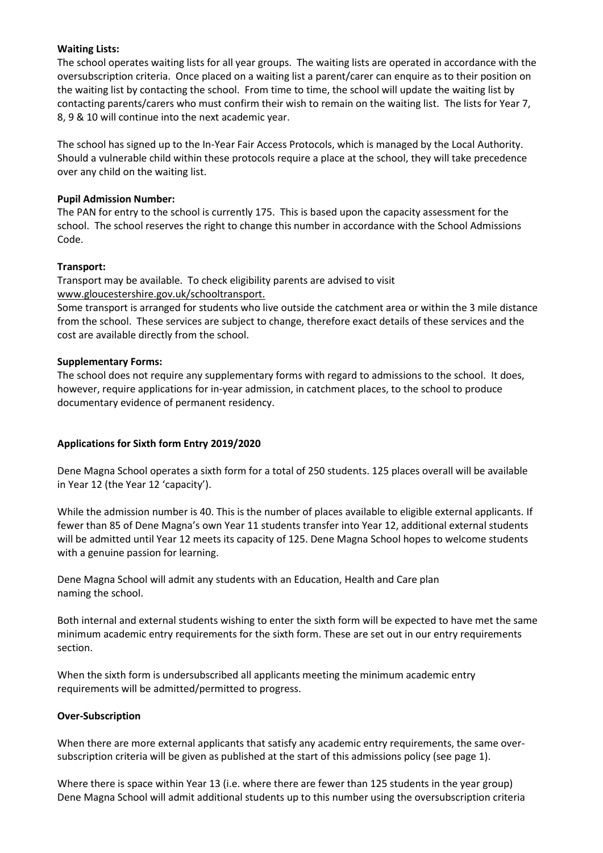#### **Waiting Lists:**

The school operates waiting lists for all year groups. The waiting lists are operated in accordance with the oversubscription criteria. Once placed on a waiting list a parent/carer can enquire as to their position on the waiting list by contacting the school. From time to time, the school will update the waiting list by contacting parents/carers who must confirm their wish to remain on the waiting list. The lists for Year 7, 8, 9 & 10 will continue into the next academic year.

The school has signed up to the In-Year Fair Access Protocols, which is managed by the Local Authority. Should a vulnerable child within these protocols require a place at the school, they will take precedence over any child on the waiting list.

#### **Pupil Admission Number:**

The PAN for entry to the school is currently 175. This is based upon the capacity assessment for the school. The school reserves the right to change this number in accordance with the School Admissions Code.

#### **Transport:**

Transport may be available. To check eligibility parents are advised to visit [www.gloucestershire.gov.uk/s](http://www.gloucestershire.gov.uk/educationtransport)chooltransport.

Some transport is arranged for students who live outside the catchment area or within the 3 mile distance from the school. These services are subject to change, therefore exact details of these services and the cost are available directly from the school.

#### **Supplementary Forms:**

The school does not require any supplementary forms with regard to admissions to the school. It does, however, require applications for in-year admission, in catchment places, to the school to produce documentary evidence of permanent residency.

## **Applications for Sixth form Entry 2019/2020**

Dene Magna School operates a sixth form for a total of 250 students. 125 places overall will be available in Year 12 (the Year 12 'capacity').

While the admission number is 40. This is the number of places available to eligible external applicants. If fewer than 85 of Dene Magna's own Year 11 students transfer into Year 12, additional external students will be admitted until Year 12 meets its capacity of 125. Dene Magna School hopes to welcome students with a genuine passion for learning.

Dene Magna School will admit any students with an Education, Health and Care plan naming the school.

Both internal and external students wishing to enter the sixth form will be expected to have met the same minimum academic entry requirements for the sixth form. These are set out in our entry requirements section.

When the sixth form is undersubscribed all applicants meeting the minimum academic entry requirements will be admitted/permitted to progress.

#### **Over-Subscription**

When there are more external applicants that satisfy any academic entry requirements, the same oversubscription criteria will be given as published at the start of this admissions policy (see page 1).

Where there is space within Year 13 (i.e. where there are fewer than 125 students in the year group) Dene Magna School will admit additional students up to this number using the oversubscription criteria